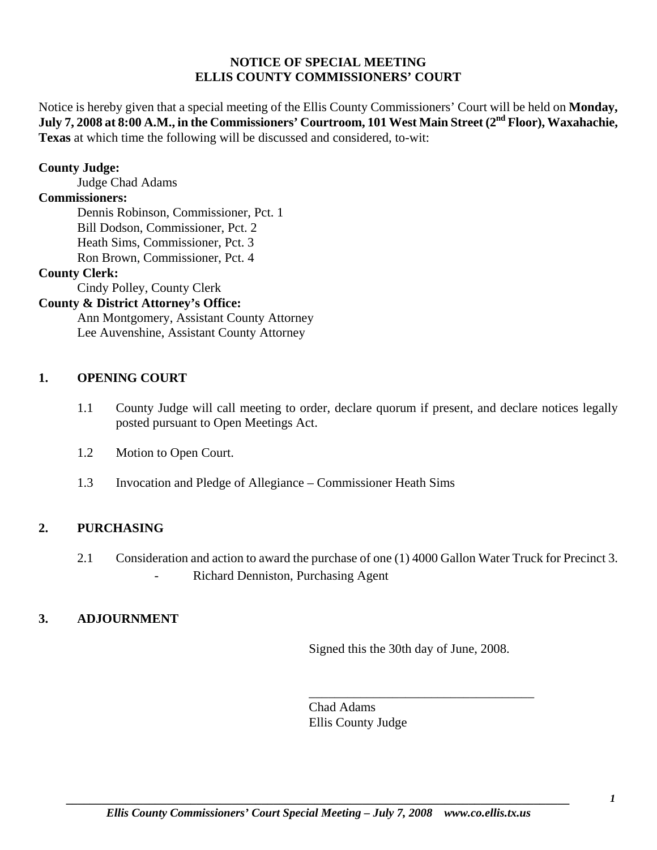# **NOTICE OF SPECIAL MEETING ELLIS COUNTY COMMISSIONERS' COURT**

Notice is hereby given that a special meeting of the Ellis County Commissioners' Court will be held on **Monday,**  July 7, 2008 at 8:00 A.M., in the Commissioners' Courtroom, 101 West Main Street (2<sup>nd</sup> Floor), Waxahachie, **Texas** at which time the following will be discussed and considered, to-wit:

## **County Judge:**

Judge Chad Adams

## **Commissioners:**

 Dennis Robinson, Commissioner, Pct. 1 Bill Dodson, Commissioner, Pct. 2 Heath Sims, Commissioner, Pct. 3 Ron Brown, Commissioner, Pct. 4

#### **County Clerk:**

Cindy Polley, County Clerk

# **County & District Attorney's Office:**

 Ann Montgomery, Assistant County Attorney Lee Auvenshine, Assistant County Attorney

# **1. OPENING COURT**

- 1.1 County Judge will call meeting to order, declare quorum if present, and declare notices legally posted pursuant to Open Meetings Act.
- 1.2 Motion to Open Court.
- 1.3 Invocation and Pledge of Allegiance Commissioner Heath Sims

# **2. PURCHASING**

2.1 Consideration and action to award the purchase of one (1) 4000 Gallon Water Truck for Precinct 3. - Richard Denniston, Purchasing Agent

# **3. ADJOURNMENT**

Signed this the 30th day of June, 2008.

\_\_\_\_\_\_\_\_\_\_\_\_\_\_\_\_\_\_\_\_\_\_\_\_\_\_\_\_\_\_\_\_\_\_\_

Chad Adams Ellis County Judge